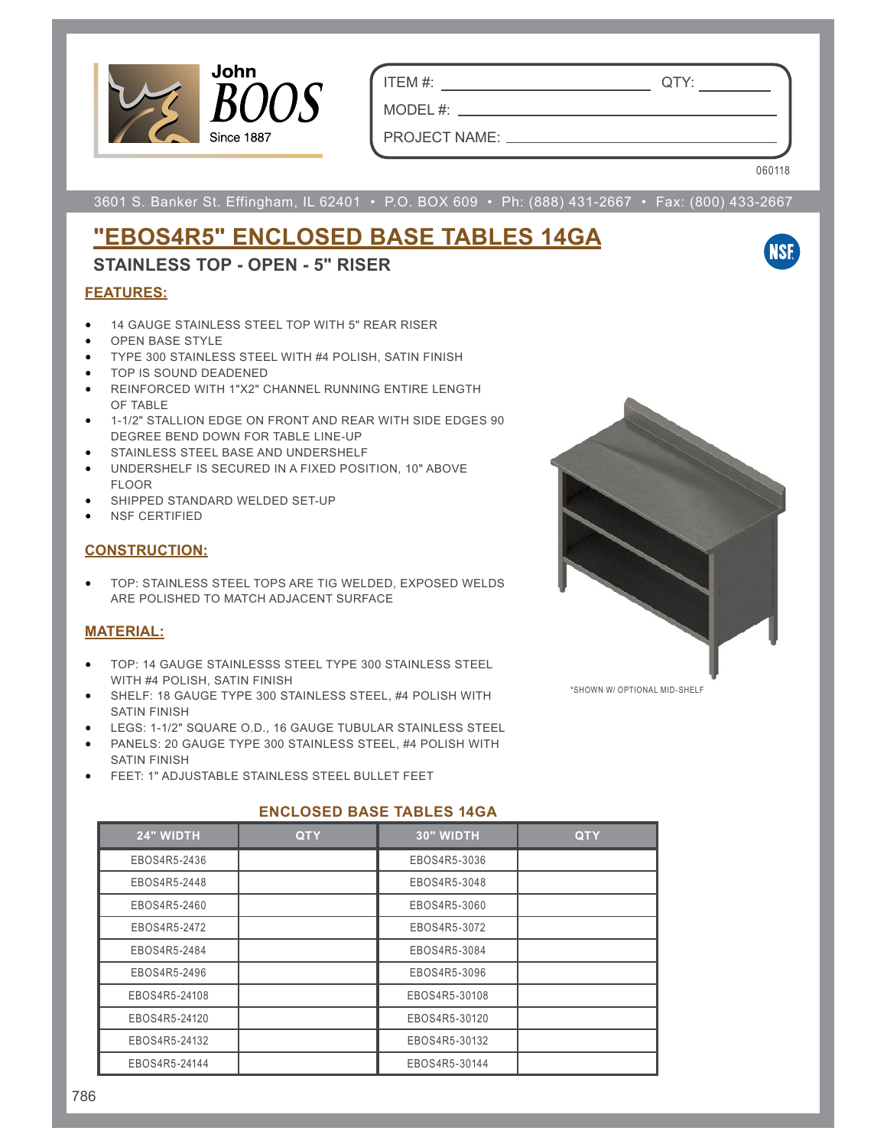

ITEM #: QTY:

PROJECT NAME:

MODEL #:

060118

**NSF** 

3601 S. Banker St. Effingham, IL 62401 • P.O. BOX 609 • Ph: (888) 431-2667 • Fax: (800) 433-2667

# **"EBOS4R5" ENCLOSED BASE TABLES 14GA**

## **STAINLESS TOP - OPEN - 5" RISER**

### **FEATURES:**

- 14 GAUGE STAINLESS STEEL TOP WITH 5" REAR RISER
- OPEN BASE STYLE
- TYPE 300 STAINLESS STEEL WITH #4 POLISH, SATIN FINISH
- TOP IS SOUND DEADENED
- REINFORCED WITH 1"X2" CHANNEL RUNNING ENTIRE LENGTH OF TABLE
- 1-1/2" STALLION EDGE ON FRONT AND REAR WITH SIDE EDGES 90 DEGREE BEND DOWN FOR TABLE LINE-UP
- STAINLESS STEEL BASE AND UNDERSHELF
- UNDERSHELF IS SECURED IN A FIXED POSITION, 10" ABOVE FLOOR
- SHIPPED STANDARD WELDED SET-UP
- NSF CERTIFIED

#### **CONSTRUCTION:**

• TOP: STAINLESS STEEL TOPS ARE TIG WELDED, EXPOSED WELDS ARE POLISHED TO MATCH ADJACENT SURFACE

### **MATERIAL:**

- TOP: 14 GAUGE STAINLESSS STEEL TYPE 300 STAINLESS STEEL WITH #4 POLISH, SATIN FINISH
- SHELF: 18 GAUGE TYPE 300 STAINLESS STEEL, #4 POLISH WITH SATIN FINISH
- LEGS: 1-1/2" SQUARE O.D., 16 GAUGE TUBULAR STAINLESS STEEL
- PANELS: 20 GAUGE TYPE 300 STAINLESS STEEL, #4 POLISH WITH SATIN FINISH
- FEET: 1" ADJUSTABLE STAINLESS STEEL BULLET FEET



### **ENCLOSED BASE TABLES 14GA**

| 24" WIDTH     | <b>QTY</b> | <b>30" WIDTH</b> | <b>QTY</b> |
|---------------|------------|------------------|------------|
| EBOS4R5-2436  |            | EBOS4R5-3036     |            |
| EBOS4R5-2448  |            | EBOS4R5-3048     |            |
| EBOS4R5-2460  |            | EBOS4R5-3060     |            |
| EBOS4R5-2472  |            | EBOS4R5-3072     |            |
| EBOS4R5-2484  |            | EBOS4R5-3084     |            |
| EBOS4R5-2496  |            | EBOS4R5-3096     |            |
| EBOS4R5-24108 |            | EBOS4R5-30108    |            |
| EBOS4R5-24120 |            | EBOS4R5-30120    |            |
| EBOS4R5-24132 |            | EBOS4R5-30132    |            |
| EBOS4R5-24144 |            | EBOS4R5-30144    |            |